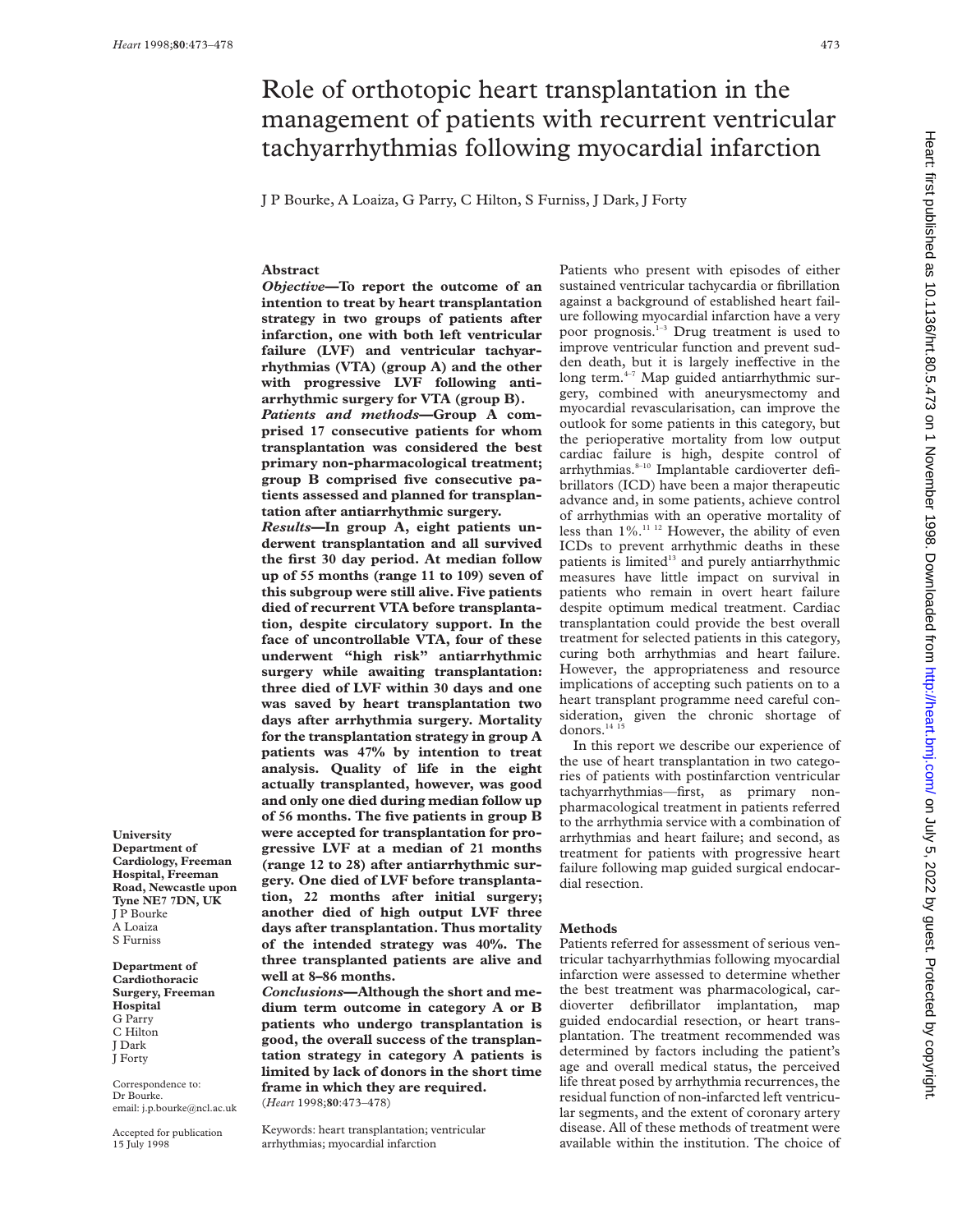# Role of orthotopic heart transplantation in the management of patients with recurrent ventricular tachyarrhythmias following myocardial infarction

J P Bourke, A Loaiza, G Parry, C Hilton, S Furniss, J Dark, J Forty

# **Abstract**

*Objective***—To report the outcome of an intention to treat by heart transplantation strategy in two groups of patients after infarction, one with both left ventricular failure (LVF) and ventricular tachyarrhythmias (VTA) (group A) and the other with progressive LVF following antiarrhythmic surgery for VTA (group B).**

*Patients and methods***—Group A comprised 17 consecutive patients for whom transplantation was considered the best primary non-pharmacological treatment; group B comprised five consecutive patients assessed and planned for transplantation after antiarrhythmic surgery.**

*Results***—In group A, eight patients underwent transplantation and all survived the first 30 day period. At median follow up of 55 months (range 11 to 109) seven of this subgroup were still alive. Five patients died of recurrent VTA before transplantation, despite circulatory support. In the face of uncontrollable VTA, four of these underwent "high risk" antiarrhythmic surgery while awaiting transplantation: three died of LVF within 30 days and one was saved by heart transplantation two days after arrhythmia surgery. Mortality for the transplantation strategy in group A patients was 47% by intention to treat analysis. Quality of life in the eight actually transplanted, however, was good and only one died during median follow up of 56 months. The five patients in group B were accepted for transplantation for progressive LVF at a median of 21 months (range 12 to 28) after antiarrhythmic surgery. One died of LVF before transplantation, 22 months after initial surgery; another died of high output LVF three days after transplantation. Thus mortality of the intended strategy was 40%. The three transplanted patients are alive and well at 8–86 months.**

*Conclusions***—Although the short and medium term outcome in category A or B patients who undergo transplantation is good, the overall success of the transplantation strategy in category A patients is limited by lack of donors in the short time frame in which they are required.** (*Heart* 1998;**80**:473–478)

Keywords: heart transplantation; ventricular arrhythmias; myocardial infarction

Patients who present with episodes of either sustained ventricular tachycardia or fibrillation against a background of established heart failure following myocardial infarction have a very poor prognosis.<sup>1-3</sup> Drug treatment is used to improve ventricular function and prevent sudden death, but it is largely ineffective in the long term. $4-7$  Map guided antiarrhythmic surgery, combined with aneurysmectomy and myocardial revascularisation, can improve the outlook for some patients in this category, but the perioperative mortality from low output cardiac failure is high, despite control of arrhythmias.<sup>8-10</sup> Implantable cardioverter defibrillators (ICD) have been a major therapeutic advance and, in some patients, achieve control of arrhythmias with an operative mortality of less than  $1\%$ .<sup>11 12</sup> However, the ability of even ICDs to prevent arrhythmic deaths in these patients is limited<sup>13</sup> and purely antiarrhythmic measures have little impact on survival in patients who remain in overt heart failure despite optimum medical treatment. Cardiac transplantation could provide the best overall treatment for selected patients in this category, curing both arrhythmias and heart failure. However, the appropriateness and resource implications of accepting such patients on to a heart transplant programme need careful consideration, given the chronic shortage of donors. $^{14}$   $^{15}$ 

In this report we describe our experience of the use of heart transplantation in two categories of patients with postinfarction ventricular tachyarrhythmias—first, as primary nonpharmacological treatment in patients referred to the arrhythmia service with a combination of arrhythmias and heart failure; and second, as treatment for patients with progressive heart failure following map guided surgical endocardial resection.

# **Methods**

Patients referred for assessment of serious ventricular tachyarrhythmias following myocardial infarction were assessed to determine whether the best treatment was pharmacological, cardioverter defibrillator implantation, map guided endocardial resection, or heart transplantation. The treatment recommended was determined by factors including the patient's age and overall medical status, the perceived life threat posed by arrhythmia recurrences, the residual function of non-infarcted left ventricular segments, and the extent of coronary artery disease. All of these methods of treatment were available within the institution. The choice of

**University Department of Cardiology, Freeman Hospital, Freeman Road, Newcastle upon Tyne NE7 7DN, UK** J P Bourke A Loaiza S Furniss

**Department of Cardiothoracic Surgery, Freeman Hospital** G Parry C Hilton J Dark J Forty

Correspondence to: Dr Bourke. email: j.p.bourke@ncl.ac.uk

Accepted for publication 15 July 1998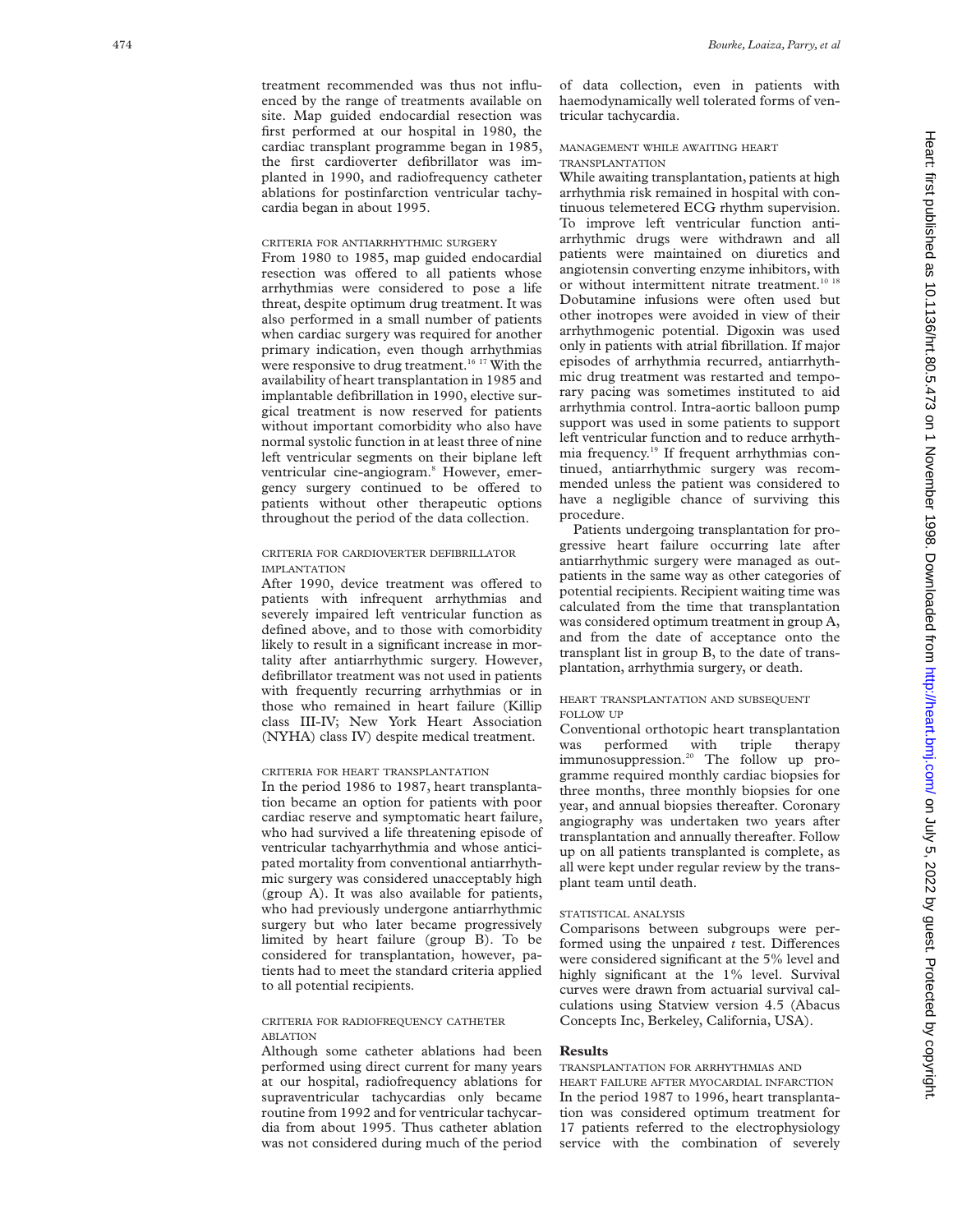treatment recommended was thus not influenced by the range of treatments available on site. Map guided endocardial resection was first performed at our hospital in 1980, the cardiac transplant programme began in 1985, the first cardioverter defibrillator was implanted in 1990, and radiofrequency catheter ablations for postinfarction ventricular tachycardia began in about 1995.

#### CRITERIA FOR ANTIARRHYTHMIC SURGERY

From 1980 to 1985, map guided endocardial resection was offered to all patients whose arrhythmias were considered to pose a life threat, despite optimum drug treatment. It was also performed in a small number of patients when cardiac surgery was required for another primary indication, even though arrhythmias were responsive to drug treatment.<sup>16 17</sup> With the availability of heart transplantation in 1985 and implantable defibrillation in 1990, elective surgical treatment is now reserved for patients without important comorbidity who also have normal systolic function in at least three of nine left ventricular segments on their biplane left ventricular cine-angiogram. <sup>8</sup> However, emergency surgery continued to be offered to patients without other therapeutic options throughout the period of the data collection.

# CRITERIA FOR CARDIOVERTER DEFIBRILLATOR IMPLANTATION

After 1990, device treatment was offered to patients with infrequent arrhythmias and severely impaired left ventricular function as defined above, and to those with comorbidity likely to result in a significant increase in mortality after antiarrhythmic surgery. However, defibrillator treatment was not used in patients with frequently recurring arrhythmias or in those who remained in heart failure (Killip class III-IV; New York Heart Association (NYHA) class IV) despite medical treatment.

# CRITERIA FOR HEART TRANSPLANTATION

In the period 1986 to 1987, heart transplantation became an option for patients with poor cardiac reserve and symptomatic heart failure, who had survived a life threatening episode of ventricular tachyarrhythmia and whose anticipated mortality from conventional antiarrhythmic surgery was considered unacceptably high (group A). It was also available for patients, who had previously undergone antiarrhythmic surgery but who later became progressively limited by heart failure (group B). To be considered for transplantation, however, patients had to meet the standard criteria applied to all potential recipients.

#### CRITERIA FOR RADIOFREQUENCY CATHETER ABLATION

Although some catheter ablations had been performed using direct current for many years at our hospital, radiofrequency ablations for supraventricular tachycardias only became routine from 1992 and for ventricular tachycardia from about 1995. Thus catheter ablation was not considered during much of the period

of data collection, even in patients with haemodynamically well tolerated forms of ventricular tachycardia.

# MANAGEMENT WHILE AWAITING HEART TRANSPLANTATION

While awaiting transplantation, patients at high arrhythmia risk remained in hospital with continuous telemetered ECG rhythm supervision. To improve left ventricular function antiarrhythmic drugs were withdrawn and all patients were maintained on diuretics and angiotensin converting enzyme inhibitors, with or without intermittent nitrate treatment.<sup>10 18</sup> Dobutamine infusions were often used but other inotropes were avoided in view of their arrhythmogenic potential. Digoxin was used only in patients with atrial fibrillation. If major episodes of arrhythmia recurred, antiarrhythmic drug treatment was restarted and temporary pacing was sometimes instituted to aid arrhythmia control. Intra-aortic balloon pump support was used in some patients to support left ventricular function and to reduce arrhythmia frequency.19 If frequent arrhythmias continued, antiarrhythmic surgery was recommended unless the patient was considered to have a negligible chance of surviving this procedure.

Patients undergoing transplantation for progressive heart failure occurring late after antiarrhythmic surgery were managed as outpatients in the same way as other categories of potential recipients. Recipient waiting time was calculated from the time that transplantation was considered optimum treatment in group A, and from the date of acceptance onto the transplant list in group B, to the date of transplantation, arrhythmia surgery, or death.

# HEART TRANSPLANTATION AND SUBSEQUENT FOLLOW UP

Conventional orthotopic heart transplantation was performed with triple therapy immunosuppression.<sup>20</sup> The follow up programme required monthly cardiac biopsies for three months, three monthly biopsies for one year, and annual biopsies thereafter. Coronary angiography was undertaken two years after transplantation and annually thereafter. Follow up on all patients transplanted is complete, as all were kept under regular review by the transplant team until death.

#### STATISTICAL ANALYSIS

Comparisons between subgroups were performed using the unpaired  $t$  test. Differences were considered significant at the 5% level and highly significant at the 1% level. Survival curves were drawn from actuarial survival calculations using Statview version 4.5 (Abacus Concepts Inc, Berkeley, California, USA).

# **Results**

# TRANSPLANTATION FOR ARRHYTHMIAS AND HEART FAILURE AFTER MYOCARDIAL INFARCTION In the period 1987 to 1996, heart transplantation was considered optimum treatment for 17 patients referred to the electrophysiology service with the combination of severely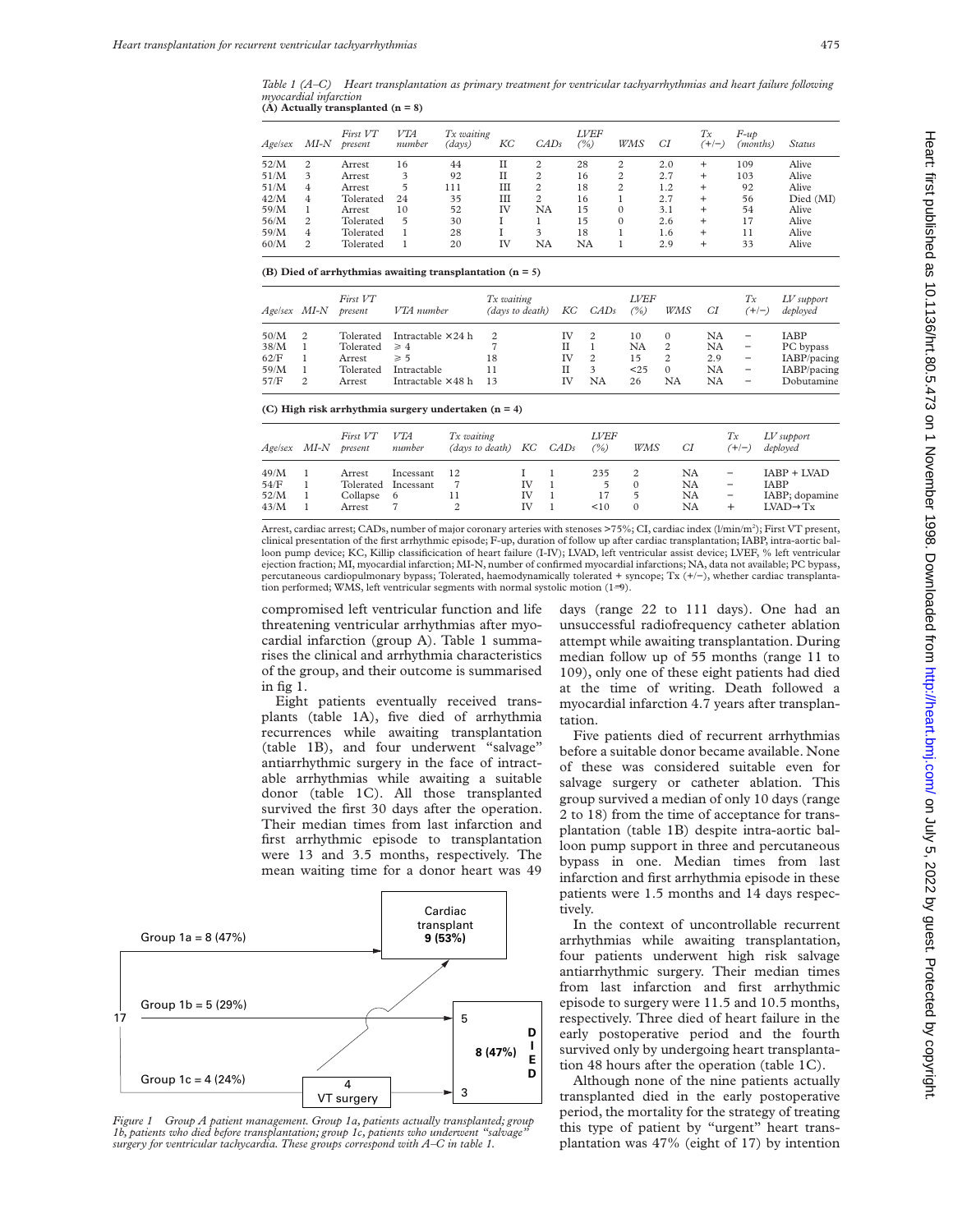*Table 1 (A–C) Heart transplantation as primary treatment for ventricular tachyarrhythmias and heart failure following myocardial infarction* **(A) Actually transplanted (n = 8)**

| <i>Agelsex</i> | MI-N | First VT<br>present | VTA<br>number | Tx waiting<br>(days) | KС        | CADs | <b>LVEF</b><br>$\frac{1}{2}$ | WMS            | СI  | Tx<br>$(+/-)$  | $F$ -up<br>(months) | Status    |
|----------------|------|---------------------|---------------|----------------------|-----------|------|------------------------------|----------------|-----|----------------|---------------------|-----------|
| 52/M           | 2    | Arrest              | 16            | 44                   | п         | 2    | 28                           | $\overline{c}$ | 2.0 | $\pm$          | 109                 | Alive     |
| 51/M           | 3    | Arrest              | 3             | 92                   | п         | 2    | 16                           | $\overline{2}$ | 2.7 | $\ddot{}$      | 103                 | Alive     |
| 51/M           | 4    | Arrest              | 5             | 111                  | Ш         | 2    | 18                           | $\overline{2}$ | 1.2 | $\ddot{}$      | 92                  | Alive     |
| 42/M           | 4    | Tolerated           | 24            | 35                   | Ш         | 2    | 16                           |                | 2.7 | $^{+}$         | 56                  | Died (MI) |
| 59/M           |      | Arrest              | 10            | 52                   | <b>IV</b> | NA   | 15                           | $\Omega$       | 3.1 | $\ddot{}$      | 54                  | Alive     |
| 56/M           | 2    | Tolerated           | 5             | 30                   |           |      | 15                           | $\Omega$       | 2.6 | $\ddot{}$      | 17                  | Alive     |
| 59/M           | 4    | Tolerated           |               | 28                   |           | 3    | 18                           |                | 1.6 | $^{+}$         | 11                  | Alive     |
| 60/M           | 2    | Tolerated           |               | 20                   | IV        | NA   | NA                           |                | 2.9 | $\overline{+}$ | 33                  | Alive     |

#### **(B) Died of arrhythmias awaiting transplantation (n = 5)**

|      | Age/sex MI-N   | First VT<br>present | VTA number                          | Tx waiting<br>(days to death) | KC | CADs           | <i>LVEF</i><br>(%) | WMS            | СI  | Тx<br>$(+/-)$            | $LV$ support<br>deployed |
|------|----------------|---------------------|-------------------------------------|-------------------------------|----|----------------|--------------------|----------------|-----|--------------------------|--------------------------|
| 50/M | -2             |                     | Tolerated Intractable $\times$ 24 h | 2                             | IV | -2             | 10                 | $\Omega$       | NA  | -                        | IABP                     |
|      |                |                     |                                     |                               |    |                |                    |                |     |                          |                          |
| 38/M |                | Tolerated $\geq 4$  |                                     | 7                             | П  |                | NA.                | -2             | NA  | $\overline{\phantom{m}}$ | PC bypass                |
| 62/F |                | Arrest              | $\geqslant 5$                       | 18                            | IV | $\overline{2}$ | 15                 | $\overline{2}$ | 2.9 | $\overline{\phantom{m}}$ | IABP/pacing              |
| 59/M |                | Tolerated           | Intractable                         | 11                            | П  | 3              | < 25               | $\Omega$       | NA  | $\overline{\phantom{m}}$ | IABP/pacing              |
| 57/F | $\overline{c}$ | Arrest              | Intractable $\times$ 48 h           | 13                            | IV | NA             | 26                 | NA             | NA  | -                        | Dobutamine               |

**(C) High risk arrhythmia surgery undertaken (n = 4)**

| Age/sex MI-N | First VT<br>present | <i>VTA</i><br>number | Tx waiting<br>(days to death) KC CADs |    | <i>LVEF</i><br>$($ %) | WMS      | СI | Тx<br>$(+/-)$            | $LV$ support<br>deployed |
|--------------|---------------------|----------------------|---------------------------------------|----|-----------------------|----------|----|--------------------------|--------------------------|
| 49/M         | Arrest              | Incessant            | 12                                    |    | 235                   | 2        | NA | $\overline{\phantom{m}}$ | IABP + LVAD              |
| 54/F         |                     | Tolerated Incessant  |                                       | IV | 5                     | $\Omega$ | NA | $\overline{\phantom{m}}$ | <b>IABP</b>              |
| 52/M         | Collapse 6          |                      |                                       | IV | 17                    | 5        | NA | $\overline{\phantom{m}}$ | IABP; dopamine           |
| 43/M         | Arrest              |                      |                                       | TV | <10                   | $\Omega$ | NA | $^{+}$                   | $LVAD \rightarrow Tx$    |

Arrest, cardiac arrest; CADs, number of major coronary arteries with stenoses >75%; CI, cardiac index (l/min/m2 ); First VT present, clinical presentation of the first arrhythmic episode; F-up, duration of follow up after cardiac transplantation; IABP, intra-aortic balloon pump device; KC, Killip classificication of heart failure (I-IV); LVAD, left ventricular assist device; LVEF, % left ventricular ejection fraction; MI, myocardial infarction; MI-N, number of confirmed myocardial infarctions; NA, data not available; PC bypass, percutaneous cardiopulmonary bypass; Tolerated, haemodynamically tolerated + syncope; Tx (+/−), whether cardiac transplantation performed; WMS, left ventricular segments with normal systolic motion (1–9).

compromised left ventricular function and life threatening ventricular arrhythmias after myocardial infarction (group A). Table 1 summarises the clinical and arrhythmia characteristics of the group, and their outcome is summarised in fig 1.

Eight patients eventually received transplants (table 1A), five died of arrhythmia recurrences while awaiting transplantation (table 1B), and four underwent "salvage" antiarrhythmic surgery in the face of intractable arrhythmias while awaiting a suitable donor (table 1C). All those transplanted survived the first 30 days after the operation. Their median times from last infarction and first arrhythmic episode to transplantation were 13 and 3.5 months, respectively. The mean waiting time for a donor heart was 49



*Figure 1 Group A patient management. Group 1a, patients actually transplanted; group 1b, patients who died before transplantation; group 1c, patients who underwent "salvage" surgery for ventricular tachycardia. These groups correspond with A–C in table 1.*

days (range 22 to 111 days). One had an unsuccessful radiofrequency catheter ablation attempt while awaiting transplantation. During median follow up of 55 months (range 11 to 109), only one of these eight patients had died at the time of writing. Death followed a myocardial infarction 4.7 years after transplantation.

Five patients died of recurrent arrhythmias before a suitable donor became available. None of these was considered suitable even for salvage surgery or catheter ablation. This group survived a median of only 10 days (range 2 to 18) from the time of acceptance for transplantation (table 1B) despite intra-aortic balloon pump support in three and percutaneous bypass in one. Median times from last infarction and first arrhythmia episode in these patients were 1.5 months and 14 days respectively.

In the context of uncontrollable recurrent arrhythmias while awaiting transplantation, four patients underwent high risk salvage antiarrhythmic surgery. Their median times from last infarction and first arrhythmic episode to surgery were 11.5 and 10.5 months, respectively. Three died of heart failure in the early postoperative period and the fourth survived only by undergoing heart transplantation 48 hours after the operation (table 1C).

Although none of the nine patients actually transplanted died in the early postoperative period, the mortality for the strategy of treating this type of patient by "urgent" heart transplantation was 47% (eight of 17) by intention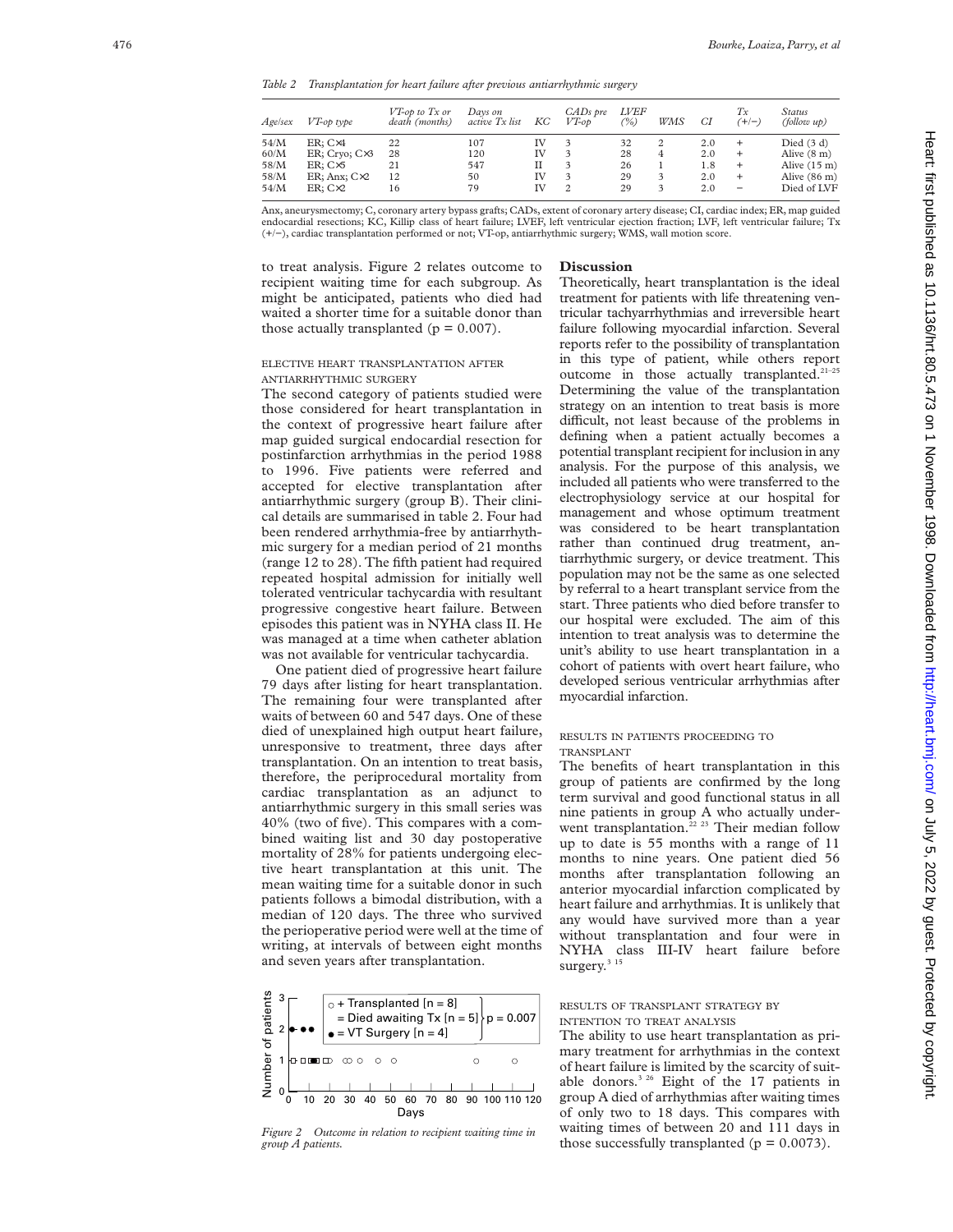*Table 2 Transplantation for heart failure after previous antiarrhythmic surgery*

| Age/sex                              | VT-op type                                                                                 | VT-op to Tx or<br>death (months) | Davs on<br>active Tx list     | KС                        | CADs pre<br>$VT$ -op | <i>LVEF</i><br>(%)         | WMS    | СI                              | Тx<br>$(+/-)$                                                                | Status<br>(follow up)                                                                                    |
|--------------------------------------|--------------------------------------------------------------------------------------------|----------------------------------|-------------------------------|---------------------------|----------------------|----------------------------|--------|---------------------------------|------------------------------------------------------------------------------|----------------------------------------------------------------------------------------------------------|
| 54/M<br>60/M<br>58/M<br>58/M<br>54/M | $ER: C\times 4$<br>ER; Cryo; C×3<br>$ER: C\times 5$<br>$ER$ ; Anx; $Cx2$<br>$ER: C\times2$ | 22<br>28<br>21<br>12<br>16       | 107<br>120<br>547<br>50<br>79 | IV<br>IV<br>П<br>IV<br>IV | $\overline{c}$       | 32<br>28<br>26<br>29<br>29 | 4<br>3 | 2.0<br>2.0<br>1.8<br>2.0<br>2.0 | $\ddot{}$<br>$\ddot{}$<br>$\ddot{}$<br>$\ddot{}$<br>$\overline{\phantom{m}}$ | Died $(3 d)$<br>Alive $(8 \text{ m})$<br>Alive $(15 \text{ m})$<br>Alive $(86 \text{ m})$<br>Died of LVF |

Anx, aneurysmectomy; C, coronary artery bypass grafts; CADs, extent of coronary artery disease; CI, cardiac index; ER, map guided endocardial resections; KC, Killip class of heart failure; LVEF, left ventricular ejection fraction; LVF, left ventricular failure; Tx (+/−), cardiac transplantation performed or not; VT-op, antiarrhythmic surgery; WMS, wall motion score.

to treat analysis. Figure 2 relates outcome to recipient waiting time for each subgroup. As might be anticipated, patients who died had waited a shorter time for a suitable donor than those actually transplanted ( $p = 0.007$ ).

# ELECTIVE HEART TRANSPLANTATION AFTER ANTIARRHYTHMIC SURGERY

The second category of patients studied were those considered for heart transplantation in the context of progressive heart failure after map guided surgical endocardial resection for postinfarction arrhythmias in the period 1988 to 1996. Five patients were referred and accepted for elective transplantation after antiarrhythmic surgery (group B). Their clinical details are summarised in table 2. Four had been rendered arrhythmia-free by antiarrhythmic surgery for a median period of 21 months (range 12 to 28). The fifth patient had required repeated hospital admission for initially well tolerated ventricular tachycardia with resultant progressive congestive heart failure. Between episodes this patient was in NYHA class II. He was managed at a time when catheter ablation was not available for ventricular tachycardia.

One patient died of progressive heart failure 79 days after listing for heart transplantation. The remaining four were transplanted after waits of between 60 and 547 days. One of these died of unexplained high output heart failure, unresponsive to treatment, three days after transplantation. On an intention to treat basis, therefore, the periprocedural mortality from cardiac transplantation as an adjunct to antiarrhythmic surgery in this small series was 40% (two of five). This compares with a combined waiting list and 30 day postoperative mortality of 28% for patients undergoing elective heart transplantation at this unit. The mean waiting time for a suitable donor in such patients follows a bimodal distribution, with a median of 120 days. The three who survived the perioperative period were well at the time of writing, at intervals of between eight months and seven years after transplantation.



# **Discussion**

Theoretically, heart transplantation is the ideal treatment for patients with life threatening ventricular tachyarrhythmias and irreversible heart failure following myocardial infarction. Several reports refer to the possibility of transplantation in this type of patient, while others report outcome in those actually transplanted.21–25 Determining the value of the transplantation strategy on an intention to treat basis is more difficult, not least because of the problems in defining when a patient actually becomes a potential transplant recipient for inclusion in any analysis. For the purpose of this analysis, we included all patients who were transferred to the electrophysiology service at our hospital for management and whose optimum treatment was considered to be heart transplantation rather than continued drug treatment, antiarrhythmic surgery, or device treatment. This population may not be the same as one selected by referral to a heart transplant service from the start. Three patients who died before transfer to our hospital were excluded. The aim of this intention to treat analysis was to determine the unit's ability to use heart transplantation in a cohort of patients with overt heart failure, who developed serious ventricular arrhythmias after myocardial infarction.

### RESULTS IN PATIENTS PROCEEDING TO TRANSPLANT

The benefits of heart transplantation in this group of patients are confirmed by the long term survival and good functional status in all nine patients in group A who actually underwent transplantation.<sup>22</sup> <sup>23</sup> Their median follow up to date is 55 months with a range of 11 months to nine years. One patient died 56 months after transplantation following an anterior myocardial infarction complicated by heart failure and arrhythmias. It is unlikely that any would have survived more than a year without transplantation and four were in NYHA class III-IV heart failure before surgery. $315$ 

# RESULTS OF TRANSPLANT STRATEGY BY INTENTION TO TREAT ANALYSIS

The ability to use heart transplantation as primary treatment for arrhythmias in the context of heart failure is limited by the scarcity of suitable donors.<sup>3 26</sup> Eight of the 17 patients in group A died of arrhythmias after waiting times of only two to 18 days. This compares with waiting times of between 20 and 111 days in *Figure 2 Outcome in relation to recipient waiting time in* Walling times of between 20 and 111 days 1 *group A patients. for those successfully transplanted (p = 0.0073).*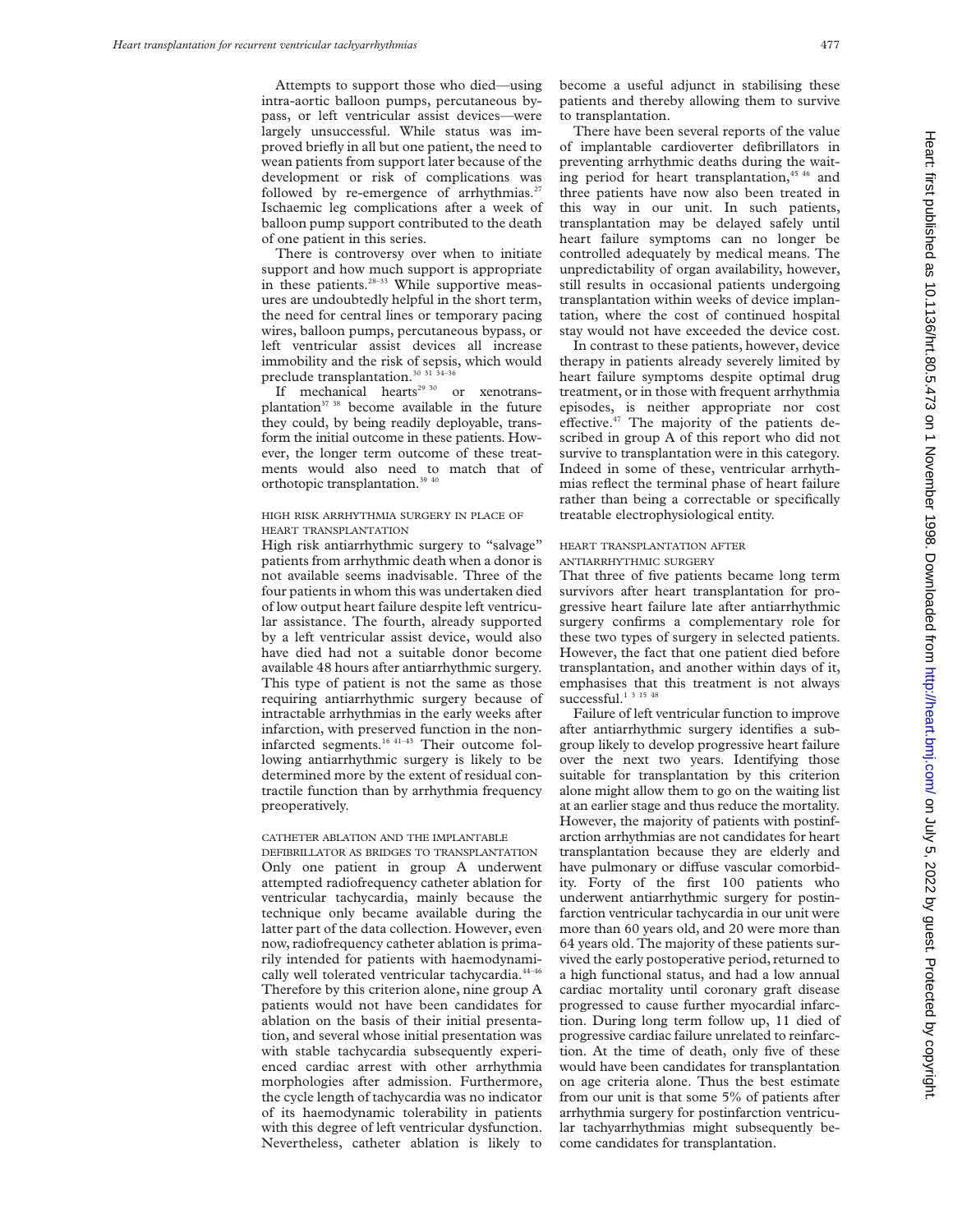Attempts to support those who died—using intra-aortic balloon pumps, percutaneous bypass, or left ventricular assist devices—were largely unsuccessful. While status was improved briefly in all but one patient, the need to wean patients from support later because of the development or risk of complications was followed by re-emergence of arrhythmias. $27$ Ischaemic leg complications after a week of balloon pump support contributed to the death of one patient in this series.

There is controversy over when to initiate support and how much support is appropriate in these patients.<sup>28–33</sup> While supportive measures are undoubtedly helpful in the short term, the need for central lines or temporary pacing wires, balloon pumps, percutaneous bypass, or left ventricular assist devices all increase immobility and the risk of sepsis, which would preclude transplantation. $30$   $31$   $34-3$ 

If mechanical hearts<sup>29 30</sup> or xenotransplantation<sup>37</sup> 38 become available in the future they could, by being readily deployable, transform the initial outcome in these patients. However, the longer term outcome of these treatments would also need to match that of orthotopic transplantation.<sup>39 40</sup>

#### HIGH RISK ARRHYTHMIA SURGERY IN PLACE OF HEART TRANSPLANTATION

High risk antiarrhythmic surgery to "salvage" patients from arrhythmic death when a donor is not available seems inadvisable. Three of the four patients in whom this was undertaken died of low output heart failure despite left ventricular assistance. The fourth, already supported by a left ventricular assist device, would also have died had not a suitable donor become available 48 hours after antiarrhythmic surgery. This type of patient is not the same as those requiring antiarrhythmic surgery because of intractable arrhythmias in the early weeks after infarction, with preserved function in the noninfarcted segments.<sup>16 41-43</sup> Their outcome following antiarrhythmic surgery is likely to be determined more by the extent of residual contractile function than by arrhythmia frequency preoperatively.

# CATHETER ABLATION AND THE IMPLANTABLE

DEFIBRILLATOR AS BRIDGES TO TRANSPLANTATION Only one patient in group A underwent attempted radiofrequency catheter ablation for ventricular tachycardia, mainly because the technique only became available during the latter part of the data collection. However, even now, radiofrequency catheter ablation is primarily intended for patients with haemodynamically well tolerated ventricular tachycardia.<sup>44-46</sup> Therefore by this criterion alone, nine group A patients would not have been candidates for ablation on the basis of their initial presentation, and several whose initial presentation was with stable tachycardia subsequently experienced cardiac arrest with other arrhythmia morphologies after admission. Furthermore, the cycle length of tachycardia was no indicator of its haemodynamic tolerability in patients with this degree of left ventricular dysfunction. Nevertheless, catheter ablation is likely to

become a useful adjunct in stabilising these patients and thereby allowing them to survive to transplantation.

There have been several reports of the value of implantable cardioverter defibrillators in preventing arrhythmic deaths during the waiting period for heart transplantation,<sup>45 46</sup> and three patients have now also been treated in this way in our unit. In such patients, transplantation may be delayed safely until heart failure symptoms can no longer be controlled adequately by medical means. The unpredictability of organ availability, however, still results in occasional patients undergoing transplantation within weeks of device implantation, where the cost of continued hospital stay would not have exceeded the device cost.

In contrast to these patients, however, device therapy in patients already severely limited by heart failure symptoms despite optimal drug treatment, or in those with frequent arrhythmia episodes, is neither appropriate nor cost effective. $47$  The majority of the patients described in group A of this report who did not survive to transplantation were in this category. Indeed in some of these, ventricular arrhythmias reflect the terminal phase of heart failure rather than being a correctable or specifically treatable electrophysiological entity.

## HEART TRANSPLANTATION AFTER ANTIARRHYTHMIC SURGERY

That three of five patients became long term survivors after heart transplantation for progressive heart failure late after antiarrhythmic surgery confirms a complementary role for these two types of surgery in selected patients. However, the fact that one patient died before transplantation, and another within days of it, emphasises that this treatment is not always successful.<sup>1</sup> <sup>3 15 48</sup>

Failure of left ventricular function to improve after antiarrhythmic surgery identifies a subgroup likely to develop progressive heart failure over the next two years. Identifying those suitable for transplantation by this criterion alone might allow them to go on the waiting list at an earlier stage and thus reduce the mortality. However, the majority of patients with postinfarction arrhythmias are not candidates for heart transplantation because they are elderly and have pulmonary or diffuse vascular comorbidity. Forty of the first 100 patients who underwent antiarrhythmic surgery for postinfarction ventricular tachycardia in our unit were more than 60 years old, and 20 were more than 64 years old. The majority of these patients survived the early postoperative period, returned to a high functional status, and had a low annual cardiac mortality until coronary graft disease progressed to cause further myocardial infarction. During long term follow up, 11 died of progressive cardiac failure unrelated to reinfarction. At the time of death, only five of these would have been candidates for transplantation on age criteria alone. Thus the best estimate from our unit is that some 5% of patients after arrhythmia surgery for postinfarction ventricular tachyarrhythmias might subsequently become candidates for transplantation.